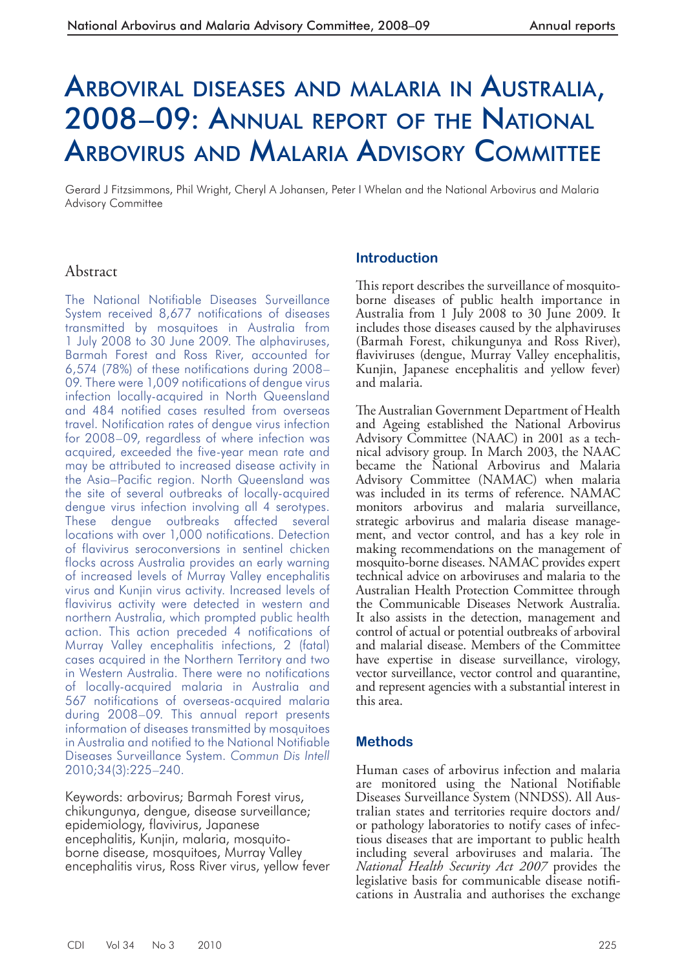# ARBOVIRAL DISEASES AND MALARIA IN AUSTRALIA, 2008–09: ANNUAL REPORT OF THE NATIONAL ARBOVIRUS AND MALARIA ADVISORY COMMITTEE

Gerard J Fitzsimmons, Phil Wright, Cheryl A Johansen, Peter I Whelan and the National Arbovirus and Malaria Advisory Committee

## Abstract

The National Notifiable Diseases Surveillance System received 8,677 notifications of diseases transmitted by mosquitoes in Australia from 1 July 2008 to 30 June 2009. The alphaviruses, Barmah Forest and Ross River, accounted for 6,574 (78%) of these notifications during 2008– 09. There were 1,009 notifications of dengue virus infection locally-acquired in North Queensland and 484 notified cases resulted from overseas travel. Notification rates of dengue virus infection for 2008–09, regardless of where infection was acquired, exceeded the five-year mean rate and may be attributed to increased disease activity in the Asia–Pacific region. North Queensland was the site of several outbreaks of locally-acquired dengue virus infection involving all 4 serotypes. These dengue outbreaks affected several locations with over 1,000 notifications. Detection of flavivirus seroconversions in sentinel chicken flocks across Australia provides an early warning of increased levels of Murray Valley encephalitis virus and Kunjin virus activity. Increased levels of flavivirus activity were detected in western and northern Australia, which prompted public health action. This action preceded 4 notifications of Murray Valley encephalitis infections, 2 (fatal) cases acquired in the Northern Territory and two in Western Australia. There were no notifications of locally-acquired malaria in Australia and 567 notifications of overseas-acquired malaria during 2008–09. This annual report presents information of diseases transmitted by mosquitoes in Australia and notified to the National Notifiable Diseases Surveillance System. *Commun Dis Intell*  2010;34(3):225–240.

Keywords: arbovirus; Barmah Forest virus, chikungunya, dengue, disease surveillance; epidemiology, flavivirus, Japanese encephalitis, Kunjin, malaria, mosquitoborne disease, mosquitoes, Murray Valley encephalitis virus, Ross River virus, yellow fever

## **Introduction**

This report describes the surveillance of mosquitoborne diseases of public health importance in Australia from 1 July 2008 to 30 June 2009. It includes those diseases caused by the alphaviruses (Barmah Forest, chikungunya and Ross River), flaviviruses (dengue, Murray Valley encephalitis, Kunjin, Japanese encephalitis and yellow fever) and malaria.

The Australian Government Department of Health and Ageing established the National Arbovirus Advisory Committee (NAAC) in 2001 as a technical advisory group. In March 2003, the NAAC became the National Arbovirus and Malaria Advisory Committee (NAMAC) when malaria was included in its terms of reference. NAMAC monitors arbovirus and malaria surveillance, strategic arbovirus and malaria disease management, and vector control, and has a key role in making recommendations on the management of mosquito-borne diseases. NAMAC provides expert technical advice on arboviruses and malaria to the Australian Health Protection Committee through the Communicable Diseases Network Australia. It also assists in the detection, management and control of actual or potential outbreaks of arboviral and malarial disease. Members of the Committee have expertise in disease surveillance, virology, vector surveillance, vector control and quarantine, and represent agencies with a substantial interest in this area.

#### **Methods**

 Human cases of arbovirus infection and malaria are monitored using the National Notifiable Diseases Surveillance System (NNDSS). All Australian states and territories require doctors and/ or pathology laboratories to notify cases of infectious diseases that are important to public health including several arboviruses and malaria. The *National Health Security Act 2007* provides the legislative basis for communicable disease notifications in Australia and authorises the exchange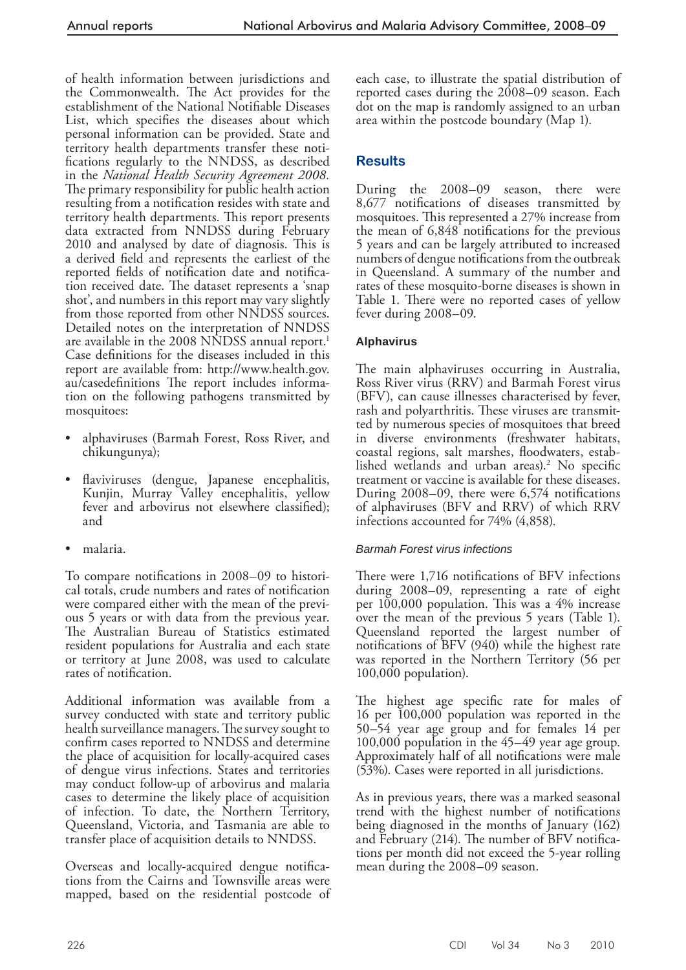of health information between jurisdictions and the Commonwealth. The Act provides for the establishment of the National Notifiable Diseases List, which specifies the diseases about which personal information can be provided. State and territory health departments transfer these notifications regularly to the NNDSS, as described in the *National Health Security Agreement 2008.*  The primary responsibility for public health action resulting from a notification resides with state and territory health departments. This report presents data extracted from NNDSS during February 2010 and analysed by date of diagnosis. This is a derived field and represents the earliest of the reported fields of notification date and notification received date. The dataset represents a 'snap shot', and numbers in this report may vary slightly from those reported from other NNDSS sources. Detailed notes on the interpretation of NNDSS are available in the 2008 NNDSS annual report.<sup>1</sup> Case definitions for the diseases included in this report are available from: http://www.health.gov. au/casedefinitions The report includes information on the following pathogens transmitted by mosquitoes:

- alphaviruses (Barmah Forest, Ross River, and chikungunya);
- flaviviruses (dengue, Japanese encephalitis, Kunjin, Murray Valley encephalitis, yellow fever and arbovirus not elsewhere classified); and
- malaria.

To compare notifications in 2008–09 to historical totals, crude numbers and rates of notification were compared either with the mean of the previous 5 years or with data from the previous year. The Australian Bureau of Statistics estimated resident populations for Australia and each state or territory at June 2008, was used to calculate rates of notification.

 Additional information was available from a survey conducted with state and territory public health surveillance managers. The survey sought to confirm cases reported to NNDSS and determine the place of acquisition for locally-acquired cases of dengue virus infections. States and territories may conduct follow-up of arbovirus and malaria cases to determine the likely place of acquisition of infection. To date, the Northern Territory, Queensland, Victoria, and Tasmania are able to transfer place of acquisition details to NNDSS.

Overseas and locally-acquired dengue notifications from the Cairns and Townsville areas were mapped, based on the residential postcode of each case, to illustrate the spatial distribution of reported cases during the 2008–09 season. Each dot on the map is randomly assigned to an urban area within the postcode boundary (Map 1).

## **Results**

 During the 2008–09 season, there were 8,677 notifications of diseases transmitted by mosquitoes. This represented a 27% increase from the mean of  $6,848$  notifications for the previous 5 years and can be largely attributed to increased numbers of dengue notifications from the outbreak in Queensland. A summary of the number and rates of these mosquito-borne diseases is shown in Table 1. There were no reported cases of yellow fever during 2008–09.

## **Alphavirus**

The main alphaviruses occurring in Australia, Ross River virus (RRV) and Barmah Forest virus (BFV), can cause illnesses characterised by fever, rash and polyarthritis. These viruses are transmitted by numerous species of mosquitoes that breed in diverse environments (freshwater habitats, coastal regions, salt marshes, floodwaters, established wetlands and urban areas).<sup>2</sup> No specific treatment or vaccine is available for these diseases. During  $2008-09$ , there were  $6,574$  notifications of alphaviruses (BFV and RRV) of which RRV infections accounted for 74% (4,858).

#### *Barmah Forest virus infections*

There were 1,716 notifications of BFV infections during 2008–09, representing a rate of eight per  $100,000$  population. This was a  $4\%$  increase over the mean of the previous 5 years (Table 1). Queensland reported the largest number of notifications of  $BFV$  (940) while the highest rate was reported in the Northern Territory (56 per 100,000 population).

The highest age specific rate for males of 16 per 100,000 population was reported in the 50–54 year age group and for females 14 per 100,000 population in the 45–49 year age group. Approximately half of all notifications were male (53%). Cases were reported in all jurisdictions.

 As in previous years, there was a marked seasonal trend with the highest number of notifications being diagnosed in the months of January (162) and February (214). The number of BFV notifications per month did not exceed the 5-year rolling mean during the 2008–09 season.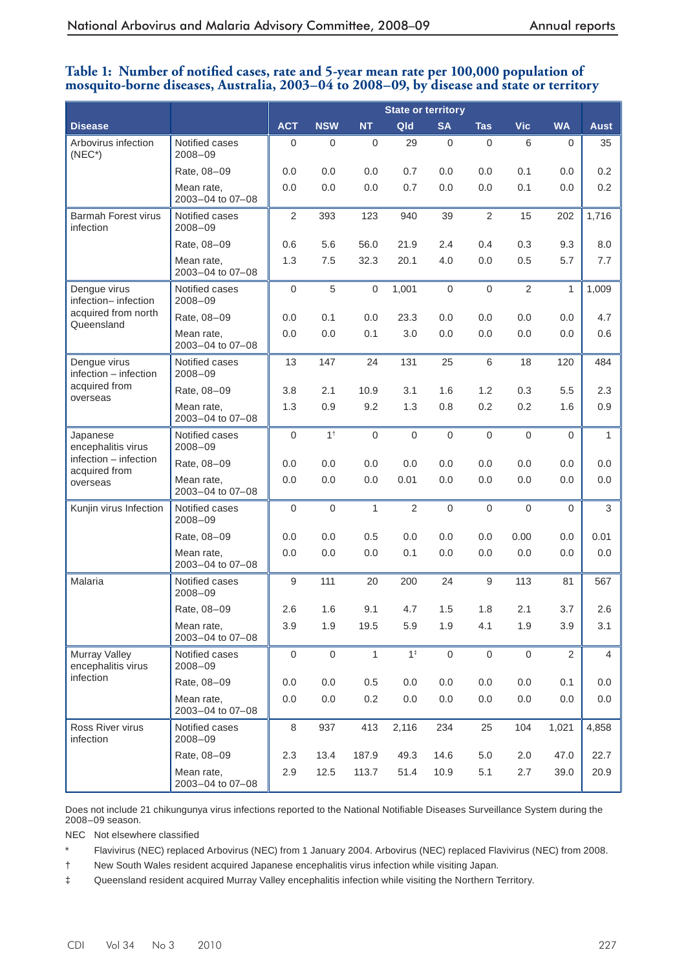## Table 1: Number of notified cases, rate and 5-year mean rate per 100,000 population of mosquito-borne diseases, Australia, 2003–04 to 2008–09, by disease and state or territory

|                                         |                                | <b>State or territory</b> |                  |              |                |                  |                  |                  |                |                |
|-----------------------------------------|--------------------------------|---------------------------|------------------|--------------|----------------|------------------|------------------|------------------|----------------|----------------|
| <b>Disease</b>                          |                                | <b>ACT</b>                | <b>NSW</b>       | <b>NT</b>    | Qld            | <b>SA</b>        | <b>Tas</b>       | <b>Vic</b>       | <b>WA</b>      | <b>Aust</b>    |
| Arbovirus infection<br>$(NEC^*)$        | Notified cases<br>$2008 - 09$  | $\mathbf 0$               | $\boldsymbol{0}$ | $\mathbf 0$  | 29             | $\boldsymbol{0}$ | $\boldsymbol{0}$ | 6                | $\mathbf 0$    | 35             |
|                                         | Rate, 08-09                    | 0.0                       | 0.0              | 0.0          | 0.7            | 0.0              | 0.0              | 0.1              | 0.0            | 0.2            |
|                                         | Mean rate,<br>2003-04 to 07-08 | 0.0                       | 0.0              | 0.0          | 0.7            | 0.0              | 0.0              | 0.1              | 0.0            | 0.2            |
| <b>Barmah Forest virus</b><br>infection | Notified cases<br>2008-09      | 2                         | 393              | 123          | 940            | 39               | 2                | 15               | 202            | 1,716          |
|                                         | Rate, 08-09                    | 0.6                       | 5.6              | 56.0         | 21.9           | 2.4              | 0.4              | 0.3              | 9.3            | 8.0            |
|                                         | Mean rate,<br>2003-04 to 07-08 | 1.3                       | 7.5              | 32.3         | 20.1           | 4.0              | 0.0              | 0.5              | 5.7            | 7.7            |
| Dengue virus<br>infection-infection     | Notified cases<br>$2008 - 09$  | $\boldsymbol{0}$          | 5                | $\mathbf 0$  | 1,001          | $\boldsymbol{0}$ | $\boldsymbol{0}$ | $\overline{2}$   | 1              | 1,009          |
| acquired from north<br>Queensland       | Rate, 08-09                    | 0.0                       | 0.1              | 0.0          | 23.3           | 0.0              | 0.0              | 0.0              | 0.0            | 4.7            |
|                                         | Mean rate,<br>2003-04 to 07-08 | 0.0                       | 0.0              | 0.1          | 3.0            | 0.0              | 0.0              | 0.0              | 0.0            | 0.6            |
| Dengue virus<br>infection - infection   | Notified cases<br>$2008 - 09$  | 13                        | 147              | 24           | 131            | 25               | 6                | 18               | 120            | 484            |
| acquired from<br>overseas               | Rate, 08-09                    | 3.8                       | 2.1              | 10.9         | 3.1            | 1.6              | 1.2              | 0.3              | 5.5            | 2.3            |
|                                         | Mean rate,<br>2003-04 to 07-08 | 1.3                       | 0.9              | 9.2          | 1.3            | 0.8              | 0.2              | 0.2              | 1.6            | 0.9            |
| Japanese<br>encephalitis virus          | Notified cases<br>2008-09      | $\mathbf 0$               | $1^{\dagger}$    | $\mathbf 0$  | $\mathbf 0$    | $\mathbf 0$      | $\boldsymbol{0}$ | $\mathbf 0$      | 0              | 1              |
| infection - infection<br>acquired from  | Rate, 08-09                    | 0.0                       | 0.0              | 0.0          | 0.0            | 0.0              | 0.0              | 0.0              | 0.0            | 0.0            |
| overseas                                | Mean rate,<br>2003-04 to 07-08 | 0.0                       | 0.0              | $0.0\,$      | 0.01           | 0.0              | 0.0              | 0.0              | 0.0            | 0.0            |
| Kunjin virus Infection                  | Notified cases<br>2008-09      | $\boldsymbol{0}$          | $\boldsymbol{0}$ | $\mathbf{1}$ | $\overline{2}$ | $\boldsymbol{0}$ | $\boldsymbol{0}$ | $\boldsymbol{0}$ | 0              | 3              |
|                                         | Rate, 08-09                    | 0.0                       | 0.0              | 0.5          | 0.0            | 0.0              | 0.0              | 0.00             | 0.0            | 0.01           |
|                                         | Mean rate,<br>2003-04 to 07-08 | 0.0                       | 0.0              | 0.0          | 0.1            | 0.0              | 0.0              | 0.0              | 0.0            | 0.0            |
| Malaria                                 | Notified cases<br>2008-09      | 9                         | 111              | 20           | 200            | 24               | $\boldsymbol{9}$ | 113              | 81             | 567            |
|                                         | Rate, 08-09                    | 2.6                       | 1.6              | 9.1          | 4.7            | 1.5              | 1.8              | 2.1              | 3.7            | 2.6            |
|                                         | Mean rate,<br>2003-04 to 07-08 | 3.9                       | 1.9              | 19.5         | 5.9            | 1.9              | 4.1              | 1.9              | 3.9            | 3.1            |
| Murray Valley<br>encephalitis virus     | Notified cases<br>2008-09      | $\boldsymbol{0}$          | $\mathsf 0$      | $\mathbf{1}$ | $1^{\ddagger}$ | $\mathsf 0$      | $\mathbf 0$      | $\mathbf 0$      | $\overline{2}$ | $\overline{4}$ |
| infection                               | Rate, 08-09                    | 0.0                       | 0.0              | $0.5\,$      | 0.0            | 0.0              | 0.0              | 0.0              | 0.1            | 0.0            |
|                                         | Mean rate,<br>2003-04 to 07-08 | 0.0                       | 0.0              | 0.2          | 0.0            | 0.0              | 0.0              | 0.0              | 0.0            | 0.0            |
| Ross River virus<br>infection           | Notified cases<br>2008-09      | 8                         | 937              | 413          | 2,116          | 234              | 25               | 104              | 1,021          | 4,858          |
|                                         | Rate, 08-09                    | 2.3                       | 13.4             | 187.9        | 49.3           | 14.6             | 5.0              | 2.0              | 47.0           | 22.7           |
|                                         | Mean rate,<br>2003-04 to 07-08 | 2.9                       | 12.5             | 113.7        | 51.4           | 10.9             | 5.1              | 2.7              | 39.0           | 20.9           |

Does not include 21 chikungunya virus infections reported to the National Notifiable Diseases Surveillance System during the 2008–09 season.

NEC Not elsewhere classified

\* Flavivirus (NEC) replaced Arbovirus (NEC) from 1 January 2004. Arbovirus (NEC) replaced Flavivirus (NEC) from 2008.

† New South Wales resident acquired Japanese encephalitis virus infection while visiting Japan.

‡ Queensland resident acquired Murray Valley encephalitis infection while visiting the Northern Territory.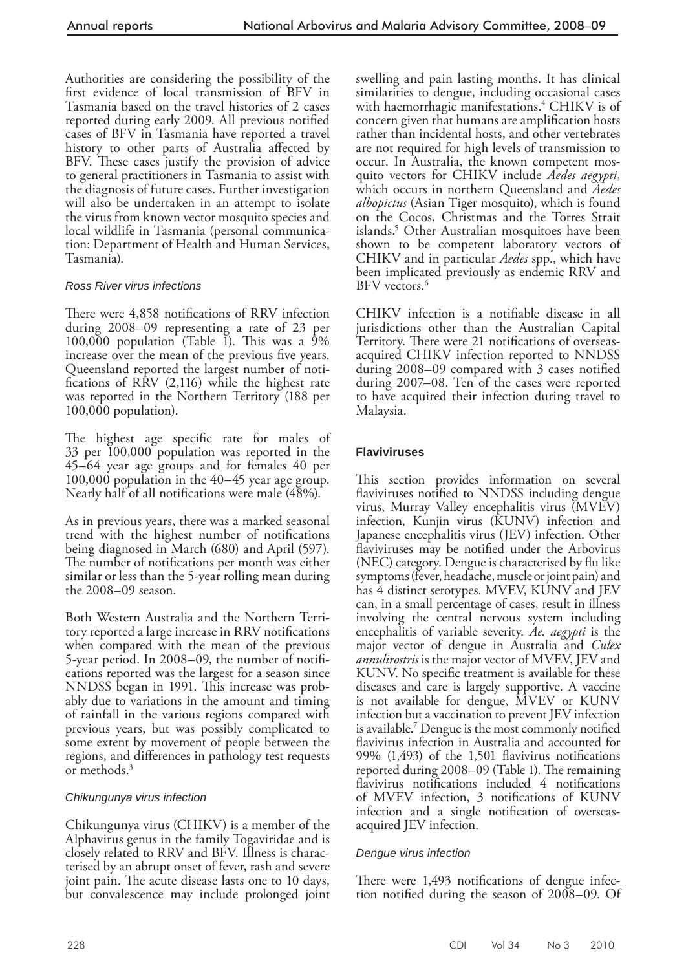Authorities are considering the possibility of the first evidence of local transmission of BFV in Tasmania based on the travel histories of 2 cases reported during early 2009. All previous notified cases of BFV in Tasmania have reported a travel history to other parts of Australia affected by BFV. These cases justify the provision of advice to general practitioners in Tasmania to assist with the diagnosis of future cases. Further investigation will also be undertaken in an attempt to isolate the virus from known vector mosquito species and local wildlife in Tasmania (personal communication: Department of Health and Human Services, Tasmania).

## *Ross River virus infections*

There were 4,858 notifications of RRV infection during 2008–09 representing a rate of 23 per 100,000 population (Table I). This was a  $9\%$ increase over the mean of the previous five years. Queensland reported the largest number of notifications of  $\overline{R}$  (2,116) while the highest rate was reported in the Northern Territory (188 per  $100,000$  population).

The highest age specific rate for males of 33 per 100,000 population was reported in the 45–64 year age groups and for females 40 per 100,000 population in the 40–45 year age group. Nearly half of all notifications were male (48%).

 As in previous years, there was a marked seasonal trend with the highest number of notifications being diagnosed in March (680) and April (597). The number of notifications per month was either similar or less than the 5-year rolling mean during the 2008–09 season.

 Both Western Australia and the Northern Territory reported a large increase in RRV notifications when compared with the mean of the previous 5-year period. In 2008–09, the number of notifications reported was the largest for a season since NNDSS began in 1991. This increase was probably due to variations in the amount and timing of rainfall in the various regions compared with previous years, but was possibly complicated to some extent by movement of people between the regions, and differences in pathology test requests or methods. 3

#### *Chikungunya virus infection*

Chikungunya virus (CHIKV) is a member of the Alphavirus genus in the family Togaviridae and is closely related to RRV and BFV. Illness is characterised by an abrupt onset of fever, rash and severe joint pain. The acute disease lasts one to 10 days, but convalescence may include prolonged joint

swelling and pain lasting months. It has clinical similarities to dengue, including occasional cases with haemorrhagic manifestations.<sup>4</sup> CHIKV is of concern given that humans are amplification hosts rather than incidental hosts, and other vertebrates are not required for high levels of transmission to occur. In Australia, the known competent mosquito vectors for CHIKV include *Aedes aegypti*, which occurs in northern Queensland and *Aedes albopictus* (Asian Tiger mosquito), which is found on the Cocos, Christmas and the Torres Strait islands.<sup>5</sup> Other Australian mosquitoes have been shown to be competent laboratory vectors of CHIKV and in particular *Aedes* spp., which have been implicated previously as endemic RRV and BFV vectors.<sup>6</sup>

CHIKV infection is a notifiable disease in all jurisdictions other than the Australian Capital Territory. There were 21 notifications of overseasacquired CHIKV infection reported to NNDSS during  $2008-09$  compared with 3 cases notified during 2007–08. Ten of the cases were reported to have acquired their infection during travel to Malaysia.

## **Flaviviruses**

This section provides information on several flaviviruses notified to NNDSS including dengue virus, Murray Valley encephalitis virus (MVEV) infection, Kunjin virus (KUNV) infection and Japanese encephalitis virus (JEV) infection. Other flaviviruses may be notified under the Arbovirus (NEC) category. Dengue is characterised by flu like symptoms (fever, headache, muscle or joint pain) and has 4 distinct serotypes. MVEV, KUNV and JEV can, in a small percentage of cases, result in illness involving the central nervous system including encephalitis of variable severity. *Ae. aegypti* is the major vector of dengue in Australia and *Culex annulirostris* is the major vector of MVEV, JEV and KUNV. No specific treatment is available for these diseases and care is largely supportive. A vaccine is not available for dengue, MVEV or KUNV infection but a vaccination to prevent JEV infection is available.<sup>7</sup> Dengue is the most commonly notified flavivirus infection in Australia and accounted for 99%  $(1,493)$  of the 1,501 flavivirus notifications reported during 2008–09 (Table 1). The remaining flavivirus notifications included  $4$  notifications of MVEV infection, 3 notifications of KUNV infection and a single notification of overseasacquired JEV infection.

#### *Dengue virus infection*

There were 1,493 notifications of dengue infection notified during the season of 2008–09. Of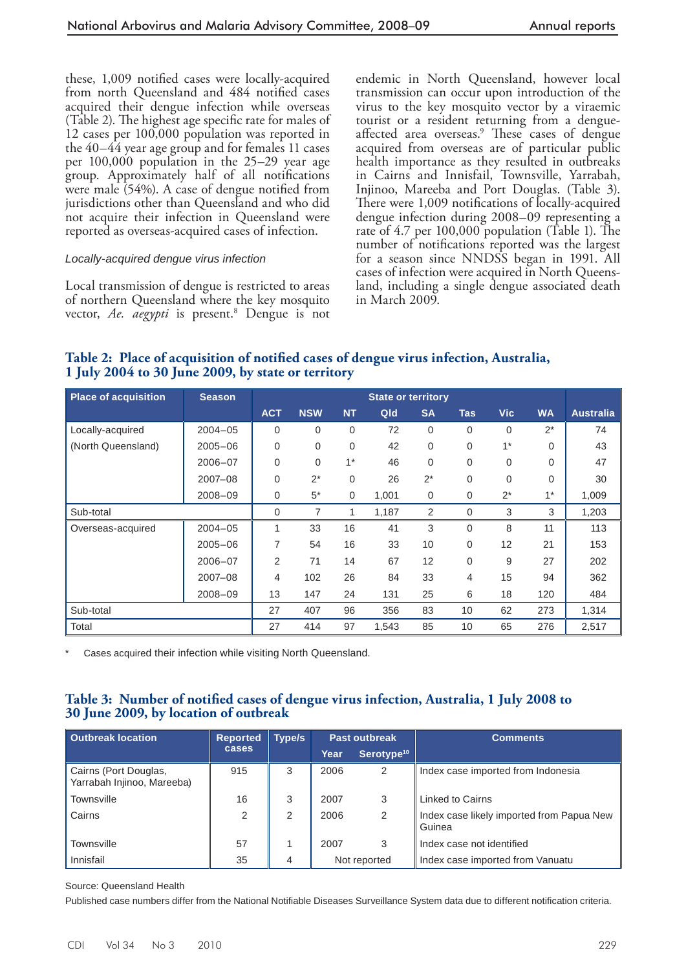these, 1,009 notified cases were locally-acquired from north Queensland and 484 notified cases acquired their dengue infection while overseas (Table 2). The highest age specific rate for males of 12 cases per 100,000 population was reported in the 40–44 year age group and for females 11 cases per 100,000 population in the 25–29 year age group. Approximately half of all notifications were male  $(54%)$ . A case of dengue notified from jurisdictions other than Queensland and who did not acquire their infection in Queensland were reported as overseas-acquired cases of infection.

#### *Locally-acquired dengue virus infection*

 Local transmission of dengue is restricted to areas of northern Queensland where the key mosquito vector, *Ae. aegypti* is present.<sup>8</sup> Dengue is not endemic in North Queensland, however local transmission can occur upon introduction of the virus to the key mosquito vector by a viraemic tourist or a resident returning from a dengueaffected area overseas.<sup>9</sup> These cases of dengue acquired from overseas are of particular public health importance as they resulted in outbreaks in Cairns and Innisfail, Townsville, Yarrabah, Injinoo, Mareeba and Port Douglas. (Table 3). There were 1,009 notifications of locally-acquired dengue infection during 2008–09 representing a rate of  $4.7$  per  $100,000$  population (Table 1). The number of notifications reported was the largest for a season since NNDSS began in 1991. All cases of infection were acquired in North Queensland, including a single dengue associated death in March 2009.

Table 2: Place of acquisition of notified cases of dengue virus infection, Australia, 1 July 2004 to 30 June 2009, by state or territory

| <b>Place of acquisition</b> | <b>Season</b> | <b>State or territory</b> |            |             |       |           |                |            |           |                  |
|-----------------------------|---------------|---------------------------|------------|-------------|-------|-----------|----------------|------------|-----------|------------------|
|                             |               | <b>ACT</b>                | <b>NSW</b> | <b>NT</b>   | Qld   | <b>SA</b> | <b>Tas</b>     | <b>Vic</b> | <b>WA</b> | <b>Australia</b> |
| Locally-acquired            | $2004 - 05$   | $\mathbf 0$               | 0          | 0           | 72    | 0         | 0              | 0          | $2^*$     | 74               |
| (North Queensland)          | $2005 - 06$   | $\mathbf 0$               | 0          | $\mathbf 0$ | 42    | 0         | 0              | $1*$       | $\Omega$  | 43               |
|                             | $2006 - 07$   | $\mathbf 0$               | 0          | $1*$        | 46    | 0         | 0              | $\Omega$   | $\Omega$  | 47               |
|                             | $2007 - 08$   | $\mathbf 0$               | $2^*$      | $\mathbf 0$ | 26    | $2^*$     | 0              | $\Omega$   | $\Omega$  | 30               |
|                             | $2008 - 09$   | $\mathbf 0$               | $5*$       | $\mathbf 0$ | 1,001 | 0         | 0              | $2^*$      | $1^*$     | 1,009            |
| Sub-total                   |               | 0                         | 7          | 1           | 1,187 | 2         | $\mathbf 0$    | 3          | 3         | 1,203            |
| Overseas-acquired           | $2004 - 05$   | 1                         | 33         | 16          | 41    | 3         | $\Omega$       | 8          | 11        | 113              |
|                             | $2005 - 06$   | 7                         | 54         | 16          | 33    | 10        | 0              | 12         | 21        | 153              |
|                             | $2006 - 07$   | 2                         | 71         | 14          | 67    | 12        | 0              | 9          | 27        | 202              |
|                             | $2007 - 08$   | 4                         | 102        | 26          | 84    | 33        | $\overline{4}$ | 15         | 94        | 362              |
|                             | $2008 - 09$   | 13                        | 147        | 24          | 131   | 25        | 6              | 18         | 120       | 484              |
| Sub-total                   |               | 27                        | 407        | 96          | 356   | 83        | 10             | 62         | 273       | 1,314            |
| Total                       |               | 27                        | 414        | 97          | 1,543 | 85        | 10             | 65         | 276       | 2,517            |

Cases acquired their infection while visiting North Queensland.

# Table 3: Number of notified cases of dengue virus infection, Australia, 1 July 2008 to 30 June 2009, by location of outbreak

| <b>Outbreak location</b>                            | <b>Reported</b> | Type/s |              | <b>Past outbreak</b>   | <b>Comments</b>                                     |  |  |
|-----------------------------------------------------|-----------------|--------|--------------|------------------------|-----------------------------------------------------|--|--|
|                                                     | cases.          |        | Year         | Serotype <sup>10</sup> |                                                     |  |  |
| Cairns (Port Douglas,<br>Yarrabah Injinoo, Mareeba) | 915             | 3      | 2006         | 2                      | Index case imported from Indonesia                  |  |  |
| Townsville                                          | 16              | 3      | 2007         | 3                      | Linked to Cairns                                    |  |  |
| Cairns                                              | 2               | 2      | 2006         | 2                      | Index case likely imported from Papua New<br>Guinea |  |  |
| <b>Townsville</b>                                   | 57              |        | 2007         | 3                      | Index case not identified                           |  |  |
| Innisfail                                           | 35              | 4      | Not reported |                        | Index case imported from Vanuatu                    |  |  |

Source: Queensland Health

Published case numbers differ from the National Notifiable Diseases Surveillance System data due to different notification criteria.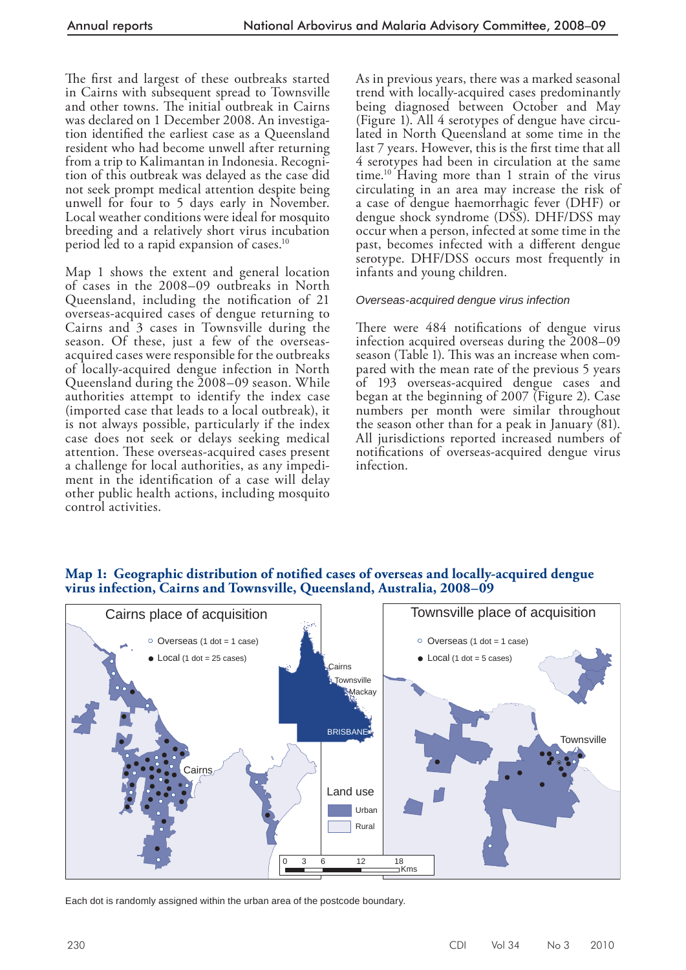The first and largest of these outbreaks started in Cairns with subsequent spread to Townsville and other towns. The initial outbreak in Cairns was declared on 1 December 2008. An investigation identified the earliest case as a Queensland resident who had become unwell after returning from a trip to Kalimantan in Indonesia. Recognition of this outbreak was delayed as the case did not seek prompt medical attention despite being unwell for four to 5 days early in November. Local weather conditions were ideal for mosquito breeding and a relatively short virus incubation period led to a rapid expansion of cases.<sup>10</sup>

 Map 1 shows the extent and general location of cases in the 2008–09 outbreaks in North Queensland, including the notification of 21 overseas-acquired cases of dengue returning to Cairns and 3 cases in Townsville during the season. Of these, just a few of the overseasacquired cases were responsible for the outbreaks of locally-acquired dengue infection in North Queensland during the 2008–09 season. While authorities attempt to identify the index case (imported case that leads to a local outbreak), it is not always possible, particularly if the index case does not seek or delays seeking medical attention. These overseas-acquired cases present a challenge for local authorities, as any impediment in the identification of a case will delay other public health actions, including mosquito control activities.

 As in previous years, there was a marked seasonal trend with locally-acquired cases predominantly being diagnosed between October and May (Figure 1). All 4 serotypes of dengue have circulated in North Queensland at some time in the last 7 years. However, this is the first time that all 4 serotypes had been in circulation at the same time.<sup>10</sup> Having more than 1 strain of the virus circulating in an area may increase the risk of a case of dengue haemorrhagic fever (DHF) or dengue shock syndrome (DSS). DHF/DSS may occur when a person, infected at some time in the past, becomes infected with a different dengue serotype. DHF/DSS occurs most frequently in infants and young children.

#### *Overseas- acquired dengue virus infection*

There were 484 notifications of dengue virus infection acquired overseas during the 2008–09 season (Table 1). This was an increase when compared with the mean rate of the previous 5 years of 193 overseas-acquired dengue cases and began at the beginning of 2007 (Figure 2). Case numbers per month were similar throughout the season other than for a peak in January (81). All jurisdictions reported increased numbers of notifications of overseas-acquired dengue virus infection.



# Map 1: Geographic distribution of notified cases of overseas and locally-acquired dengue virus infection, Cairns and Townsville, Queensland, Australia, 2008–09

Each dot is randomly assigned within the urban area of the postcode boundary.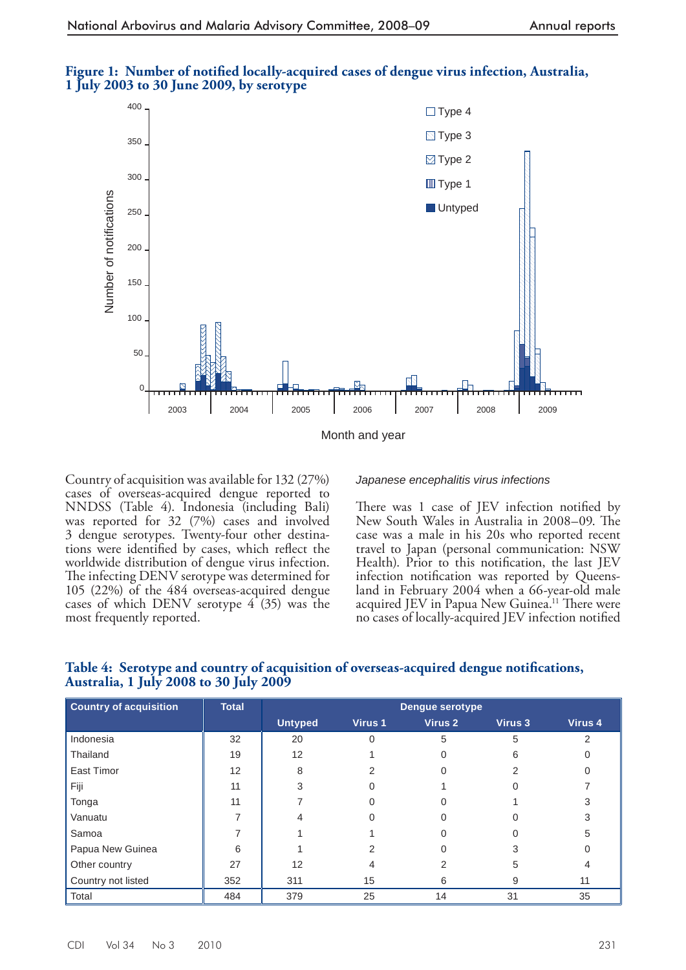

# Figure 1: Number of notified locally-acquired cases of dengue virus infection, Australia, 1 July 2003 to 30 June 2009, by serotype

 Country of acquisition was available for 132 (27%) cases of overseas-acquired dengue reported to NNDSS (Table 4). Indonesia (including Bali) was reported for 32 (7%) cases and involved 3 dengue serotypes. Twenty-four other destinations were identified by cases, which reflect the worldwide distribution of dengue virus infection. The infecting DENV serotype was determined for 105 (22%) of the 484 overseas-acquired dengue cases of which DENV serotype 4 (35) was the most frequently reported.

#### *Japanese encephalitis virus infections*

There was 1 case of JEV infection notified by New South Wales in Australia in 2008–09. The case was a male in his 20s who reported recent travel to Japan (personal communication: NSW Health). Prior to this notification, the last JEV infection notification was reported by Queensland in February 2004 when a 66-year-old male acquired JEV in Papua New Guinea.<sup>11</sup> There were no cases of locally-acquired JEV infection notified

| <b>Country of acquisition</b> | <b>Total</b> | <b>Dengue serotype</b> |         |                    |         |         |  |  |  |
|-------------------------------|--------------|------------------------|---------|--------------------|---------|---------|--|--|--|
|                               |              | <b>Untyped</b>         | Virus 1 | Virus <sub>2</sub> | Virus 3 | Virus 4 |  |  |  |
| Indonesia                     | 32           | 20                     |         | 5                  | 5       | っ       |  |  |  |
| Thailand                      | 19           | 12                     |         |                    | 6       |         |  |  |  |
| East Timor                    | 12           | 8                      |         | O                  |         |         |  |  |  |
| Fiji                          | 11           |                        |         |                    |         |         |  |  |  |
| Tonga                         | 11           |                        |         |                    |         |         |  |  |  |
| Vanuatu                       |              |                        |         |                    |         | 3       |  |  |  |
| Samoa                         |              |                        |         |                    |         | 5       |  |  |  |
| Papua New Guinea              | 6            |                        |         |                    |         |         |  |  |  |
| Other country                 | 27           | 12                     | 4       | 2                  | 5       |         |  |  |  |
| Country not listed            | 352          | 311                    | 15      | 6                  | 9       | 11      |  |  |  |
| Total                         | 484          | 379                    | 25      | 14                 | 31      | 35      |  |  |  |

#### **Table 4: Serotype and country of acquisition of overseas-acquired dengue notifications, Australia, 1 July 2008 to 30 July 2009**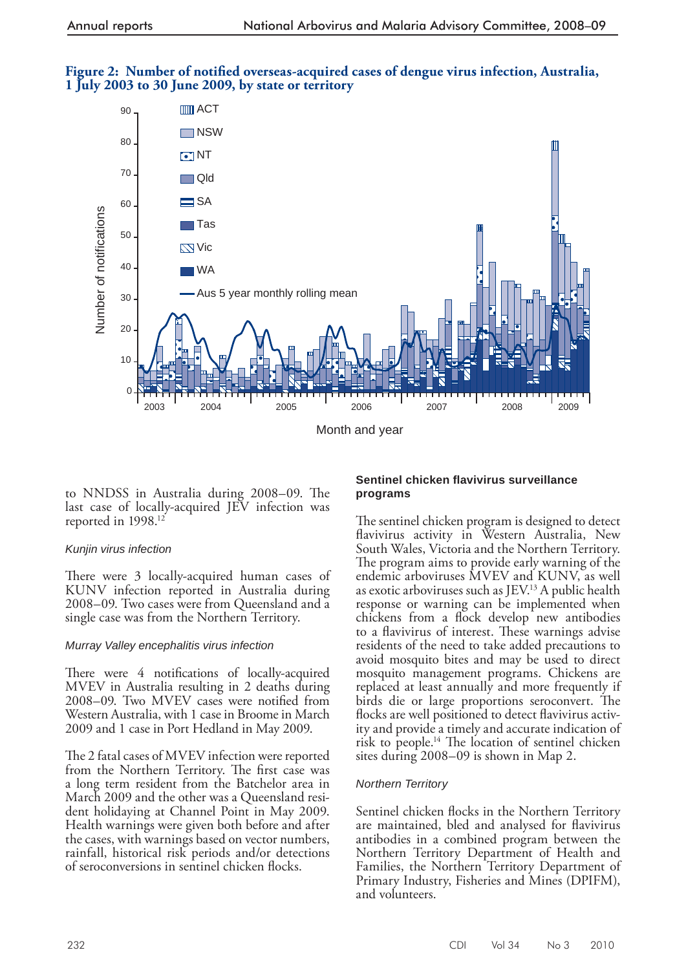# Figure 2: Number of notified overseas-acquired cases of dengue virus infection, Australia, 1 July 2003 to 30 June 2009, by state or territory



to NNDSS in Australia during 2008–09. The last case of locally-acquired JEV infection was reported in 1998.<sup>12</sup>

#### *Kunjin virus infection*

There were 3 locally-acquired human cases of KUNV infection reported in Australia during 2008–09. Two cases were from Queensland and a single case was from the Northern Territory.

#### *Murray Valley encephalitis virus infection*

There were 4 notifications of locally-acquired MVEV in Australia resulting in 2 deaths during 2008–09. Two MVEV cases were notified from Western Australia, with 1 case in Broome in March 2009 and 1 case in Port Hedland in May 2009.

The 2 fatal cases of MVEV infection were reported from the Northern Territory. The first case was a long term resident from the Batchelor area in March 2009 and the other was a Queensland resident holidaying at Channel Point in May 2009. Health warnings were given both before and after the cases, with warnings based on vector numbers, rainfall, historical risk periods and/or detections of seroconversions in sentinel chicken flocks.

#### **Sentinel chicken fl avivirus surveillance programs**

The sentinel chicken program is designed to detect flavivirus activity in Western Australia, New South Wales, Victoria and the Northern Territory. The program aims to provide early warning of the endemic arboviruses MVEV and KUNV, as well as exotic arboviruses such as JEV.<sup>13</sup> A public health response or warning can be implemented when chickens from a flock develop new antibodies to a flavivirus of interest. These warnings advise residents of the need to take added precautions to avoid mosquito bites and may be used to direct mosquito management programs. Chickens are replaced at least annually and more frequently if birds die or large proportions seroconvert. The flocks are well positioned to detect flavivirus activity and provide a timely and accurate indication of risk to people.<sup>14</sup> The location of sentinel chicken sites during 2008–09 is shown in Map 2.

## *Northern Territory*

Sentinel chicken flocks in the Northern Territory are maintained, bled and analysed for flavivirus antibodies in a combined program between the Northern Territory Department of Health and Families, the Northern Territory Department of Primary Industry, Fisheries and Mines (DPIFM), and volunteers.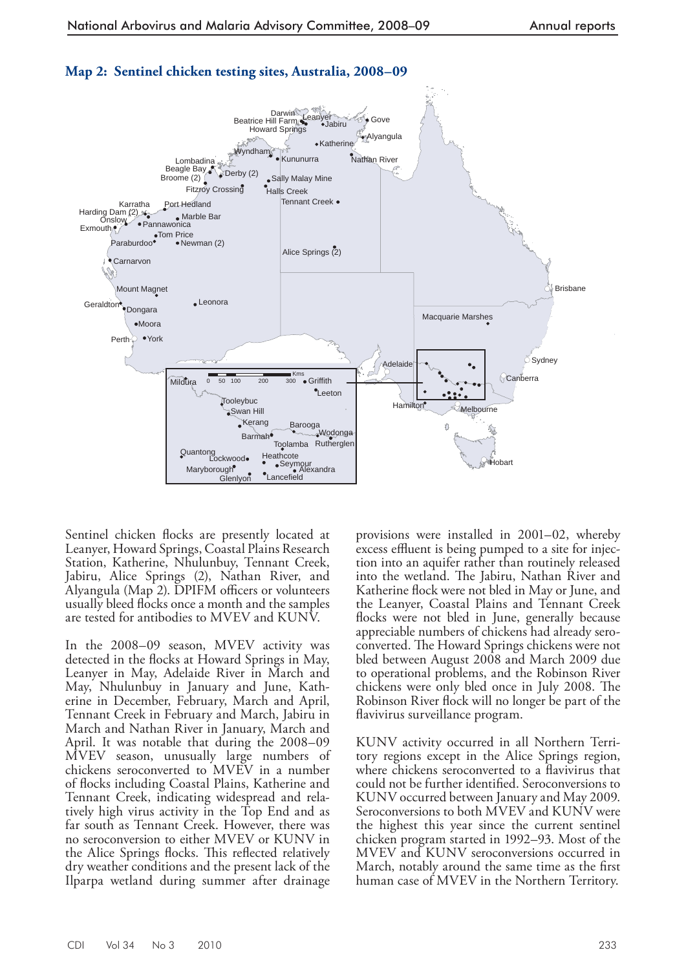

## **Map 2: Sentinel chicken testing sites, Australia, 2008–09**

Sentinel chicken flocks are presently located at Leanyer, Howard Springs, Coastal Plains Research Station, Katherine, Nhulunbuy, Tennant Creek, Jabiru, Alice Springs (2), Nathan River, and Alyangula (Map 2). DPIFM officers or volunteers usually bleed flocks once a month and the samples are tested for antibodies to MVEV and KUNV.

 In the 2008–09 season, MVEV activity was detected in the flocks at Howard Springs in May, Leanyer in May, Adelaide River in March and May, Nhulunbuy in January and June, Katherine in December, February, March and April, Tennant Creek in February and March, Jabiru in March and Nathan River in January, March and April. It was notable that during the 2008–09 MVEV season, unusually large numbers of chickens seroconverted to MVEV in a number of flocks including Coastal Plains, Katherine and Tennant Creek, indicating widespread and relatively high virus activity in the Top End and as far south as Tennant Creek. However, there was no seroconversion to either MVEV or KUNV in the Alice Springs flocks. This reflected relatively dry weather conditions and the present lack of the Ilparpa wetland during summer after drainage

provisions were installed in 2001–02, whereby excess effluent is being pumped to a site for injection into an aquifer rather than routinely released into the wetland. The Jabiru, Nathan River and Katherine flock were not bled in May or June, and the Leanyer, Coastal Plains and Tennant Creek flocks were not bled in June, generally because appreciable numbers of chickens had already seroconverted. The Howard Springs chickens were not bled between August 2008 and March 2009 due to operational problems, and the Robinson River chickens were only bled once in July 2008. The Robinson River flock will no longer be part of the flavivirus surveillance program.

 KUNV activity occurred in all Northern Territory regions except in the Alice Springs region, where chickens seroconverted to a flavivirus that could not be further identified. Seroconversions to KUNV occurred between January and May 2009. Seroconversions to both MVEV and KUNV were the highest this year since the current sentinel chicken program started in 1992–93. Most of the MVEV and KUNV seroconversions occurred in March, notably around the same time as the first human case of MVEV in the Northern Territory.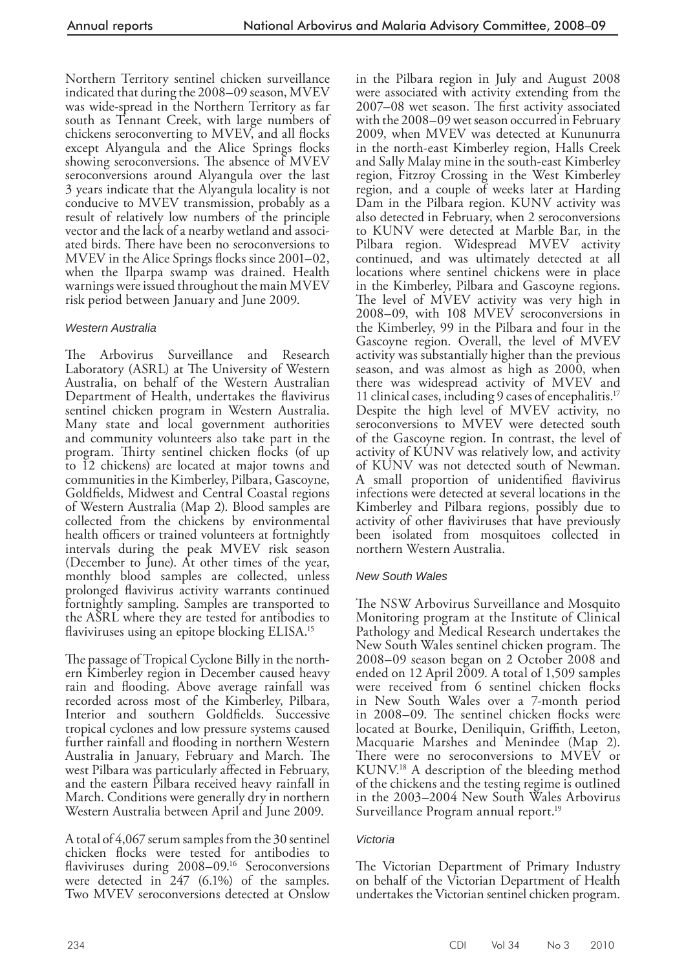Northern Territory sentinel chicken surveillance indicated that during the 2008–09 season, MVEV was wide-spread in the Northern Territory as far south as Tennant Creek, with large numbers of chickens seroconverting to MVEV, and all flocks except Alyangula and the Alice Springs flocks showing seroconversions. The absence of MVEV seroconversions around Alyangula over the last 3 years indicate that the Alyangula locality is not conducive to MVEV transmission, probably as a result of relatively low numbers of the principle vector and the lack of a nearby wetland and associated birds. There have been no seroconversions to MVEV in the Alice Springs flocks since 2001–02, when the Ilparpa swamp was drained. Health warnings were issued throughout the main MVEV risk period between January and June 2009.

## *Western Australia*

The Arbovirus Surveillance and Research Laboratory (ASRL) at The University of Western Australia, on behalf of the Western Australian Department of Health, undertakes the flavivirus sentinel chicken program in Western Australia. Many state and local government authorities and community volunteers also take part in the program. Thirty sentinel chicken flocks (of up to 12 chickens) are located at major towns and communities in the Kimberley, Pilbara, Gascoyne, Goldfields, Midwest and Central Coastal regions of Western Australia (Map 2). Blood samples are collected from the chickens by environmental health officers or trained volunteers at fortnightly intervals during the peak MVEV risk season (December to June). At other times of the year, monthly blood samples are collected, unless prolonged flavivirus activity warrants continued fortnightly sampling. Samples are transported to the ASRL where they are tested for antibodies to flaviviruses using an epitope blocking ELISA.<sup>15</sup>

The passage of Tropical Cyclone Billy in the northern Kimberley region in December caused heavy rain and flooding. Above average rainfall was recorded across most of the Kimberley, Pilbara, Interior and southern Goldfields. Successive tropical cyclones and low pressure systems caused further rainfall and flooding in northern Western Australia in January, February and March. The west Pilbara was particularly affected in February, and the eastern Pilbara received heavy rainfall in March. Conditions were generally dry in northern Western Australia between April and June 2009.

 A total of 4,067 serum samples from the 30 sentinel chicken flocks were tested for antibodies to flaviviruses during 2008-09.<sup>16</sup> Seroconversions were detected in 247 (6.1%) of the samples. Two MVEV seroconversions detected at Onslow

in the Pilbara region in July and August 2008 were associated with activity extending from the 2007–08 wet season. The first activity associated with the 2008–09 wet season occurred in February 2009, when MVEV was detected at Kununurra in the north-east Kimberley region, Halls Creek and Sally Malay mine in the south-east Kimberley region, Fitzroy Crossing in the West Kimberley region, and a couple of weeks later at Harding Dam in the Pilbara region. KUNV activity was also detected in February, when 2 seroconversions to KUNV were detected at Marble Bar, in the Pilbara region. Widespread MVEV activity continued, and was ultimately detected at all locations where sentinel chickens were in place in the Kimberley, Pilbara and Gascoyne regions. The level of MVEV activity was very high in 2008–09, with 108 MVEV seroconversions in the Kimberley, 99 in the Pilbara and four in the Gascoyne region. Overall, the level of MVEV activity was substantially higher than the previous season, and was almost as high as 2000, when there was widespread activity of MVEV and 11 clinical cases, including 9 cases of encephalitis. 17 Despite the high level of MVEV activity, no seroconversions to MVEV were detected south of the Gascoyne region. In contrast, the level of activity of KUNV was relatively low, and activity of KUNV was not detected south of Newman. A small proportion of unidentified flavivirus infections were detected at several locations in the Kimberley and Pilbara regions, possibly due to activity of other flaviviruses that have previously been isolated from mosquitoes collected in northern Western Australia.

## *New South Wales*

The NSW Arbovirus Surveillance and Mosquito Monitoring program at the Institute of Clinical Pathology and Medical Research undertakes the New South Wales sentinel chicken program. The 2008–09 season began on 2 October 2008 and ended on 12 April 2009. A total of 1,509 samples were received from 6 sentinel chicken flocks in New South Wales over a 7-month period in 2008–09. The sentinel chicken flocks were located at Bourke, Deniliquin, Griffith, Leeton, Macquarie Marshes and Menindee (Map 2). There were no seroconversions to MVEV or KUNV.<sup>18</sup> A description of the bleeding method of the chickens and the testing regime is outlined in the 2003–2004 New South Wales Arbovirus Surveillance Program annual report.<sup>19</sup>

## *Victoria*

The Victorian Department of Primary Industry on behalf of the Victorian Department of Health undertakes the Victorian sentinel chicken program.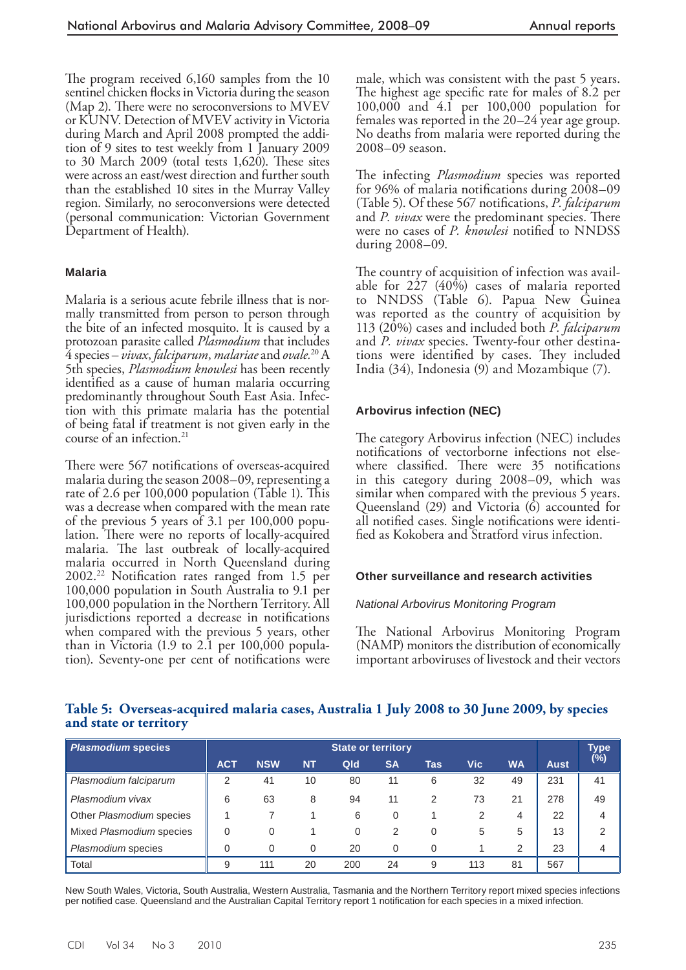The program received 6,160 samples from the 10 sentinel chicken flocks in Victoria during the season (Map 2). There were no seroconversions to  $MVEV$ or KUNV. Detection of MVEV activity in Victoria during March and April 2008 prompted the addition of 9 sites to test weekly from 1 January 2009 to 30 March 2009 (total tests  $1,620$ ). These sites were across an east/west direction and further south than the established 10 sites in the Murray Valley region. Similarly, no seroconversions were detected (personal communication: Victorian Government Department of Health).

#### **Malaria**

 Malaria is a serious acute febrile illness that is normally transmitted from person to person through the bite of an infected mosquito. It is caused by a protozoan parasite called *Plasmodium* that includes 4 species – *vivax* , *falciparum* , *malariae* and *ovale.* 20 A 5th species, *Plasmodium knowlesi* has been recently identified as a cause of human malaria occurring predominantly throughout South East Asia. Infection with this primate malaria has the potential of being fatal if treatment is not given early in the course of an infection. 21

There were 567 notifications of overseas-acquired malaria during the season 2008–09, representing a rate of 2.6 per  $100,000$  population (Table 1). This was a decrease when compared with the mean rate of the previous 5 years of 3.1 per 100,000 population. There were no reports of locally-acquired malaria. The last outbreak of locally-acquired malaria occurred in North Queensland during  $2002.^{22}$  Notification rates ranged from 1.5 per 100,000 population in South Australia to 9.1 per 100,000 population in the Northern Territory. All jurisdictions reported a decrease in notifications when compared with the previous 5 years, other than in Victoria (1.9 to 2.1 per 100,000 population). Seventy-one per cent of notifications were male, which was consistent with the past 5 years. The highest age specific rate for males of 8.2 per 100,000 and 4.1 per 100,000 population for females was reported in the 20–24 year age group. No deaths from malaria were reported during the 2008–09 season.

The infecting *Plasmodium* species was reported for 96% of malaria notifications during 2008–09 (Table 5). Of these 567 notifications, *P. falciparum* and *P. vivax* were the predominant species. There were no cases of *P. knowlesi* notified to NNDSS during 2008–09.

The country of acquisition of infection was available for  $227$  (40%) cases of malaria reported to NNDSS (Table 6). Papua New Guinea was reported as the country of acquisition by 113 (20%) cases and included both *P. falciparum*  and *P. vivax* species. Twenty-four other destinations were identified by cases. They included India (34), Indonesia (9) and Mozambique (7).

#### **Arbovirus infection (NEC)**

The category Arbovirus infection (NEC) includes notifications of vectorborne infections not elsewhere classified. There were 35 notifications in this category during 2008–09, which was similar when compared with the previous 5 years. Queensland (29) and Victoria (6) accounted for all notified cases. Single notifications were identified as Kokobera and Stratford virus infection.

#### **Other surveillance and research activities**

#### *National Arbovirus Monitoring Program*

The National Arbovirus Monitoring Program (NAMP) monitors the distribution of economically important arboviruses of livestock and their vectors

## Table 5: Overseas-acquired malaria cases, Australia 1 July 2008 to 30 June 2009, by species **and state or territory**

| Plasmodium species       | <b>State or territory</b> |            |           |          |           |          |     |           |             | Type                       |
|--------------------------|---------------------------|------------|-----------|----------|-----------|----------|-----|-----------|-------------|----------------------------|
|                          | <b>ACT</b>                | <b>NSW</b> | <b>NT</b> | Qld      | <b>SA</b> | Tas      | Vic | <b>WA</b> | <b>Aust</b> | $(\overline{\frac{6}{6}})$ |
| Plasmodium falciparum    | 2                         | 41         | 10        | 80       | 11        | 6        | 32  | 49        | 231         | 41                         |
| Plasmodium vivax         | 6                         | 63         | 8         | 94       | 11        | 2        | 73  | 21        | 278         | 49                         |
| Other Plasmodium species |                           |            |           | 6        | 0         |          | 2   | 4         | 22          | 4                          |
| Mixed Plasmodium species | $\Omega$                  | $\Omega$   |           | $\Omega$ | 2         | 0        | 5   | 5         | 13          | 2                          |
| Plasmodium species       | $\Omega$                  | $\Omega$   | $\Omega$  | 20       | 0         | $\Omega$ |     | 2         | 23          | 4                          |
| Total                    | 9                         | 111        | 20        | 200      | 24        | 9        | 113 | 81        | 567         |                            |

New South Wales, Victoria, South Australia, Western Australia, Tasmania and the Northern Territory report mixed species infections per notified case. Queensland and the Australian Capital Territory report 1 notification for each species in a mixed infection.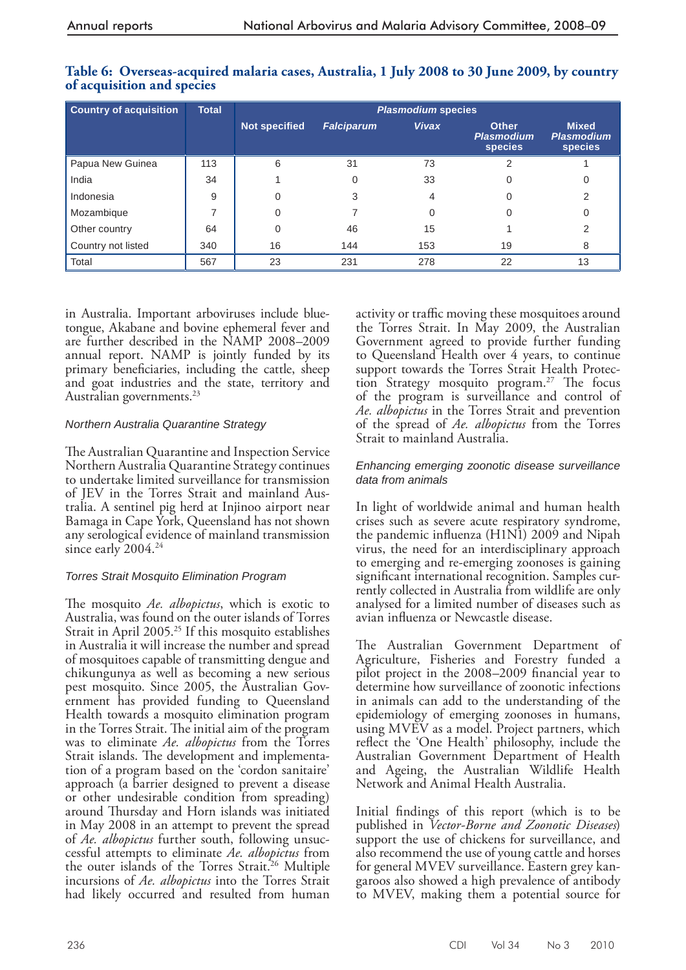| <b>Country of acquisition</b> | <b>Total</b> | <b>Plasmodium species</b> |                   |              |                                                     |                                                     |  |  |  |  |  |
|-------------------------------|--------------|---------------------------|-------------------|--------------|-----------------------------------------------------|-----------------------------------------------------|--|--|--|--|--|
|                               |              | <b>Not specified</b>      | <b>Falciparum</b> | <b>Vivax</b> | <b>Other</b><br><b>Plasmodium</b><br><b>species</b> | <b>Mixed</b><br><b>Plasmodium</b><br><b>species</b> |  |  |  |  |  |
| Papua New Guinea              | 113          | 6                         | 31                | 73           |                                                     |                                                     |  |  |  |  |  |
| India                         | 34           |                           |                   | 33           |                                                     | 0                                                   |  |  |  |  |  |
| Indonesia                     | 9            |                           |                   | 4            |                                                     |                                                     |  |  |  |  |  |
| Mozambique                    |              |                           |                   |              |                                                     |                                                     |  |  |  |  |  |
| Other country                 | 64           |                           | 46                | 15           |                                                     |                                                     |  |  |  |  |  |
| Country not listed            | 340          | 16                        | 144               | 153          | 19                                                  | 8                                                   |  |  |  |  |  |
| Total                         | 567          | 23                        | 231               | 278          | 22                                                  | 13                                                  |  |  |  |  |  |

## Table 6: Overseas-acquired malaria cases, Australia, 1 July 2008 to 30 June 2009, by country **of acquisition and species**

in Australia. Important arboviruses include bluetongue, Akabane and bovine ephemeral fever and are further described in the NAMP 2008–2009 annual report. NAMP is jointly funded by its primary beneficiaries, including the cattle, sheep and goat industries and the state, territory and Australian governments. 23

## *Northern Australia Quarantine Strategy*

The Australian Quarantine and Inspection Service Northern Australia Quarantine Strategy continues to undertake limited surveillance for transmission of JEV in the Torres Strait and mainland Australia. A sentinel pig herd at Injinoo airport near Bamaga in Cape York, Queensland has not shown any serological evidence of mainland transmission since early 2004.<sup>24</sup>

## *Torres Strait Mosquito Elimination Program*

The mosquito *Ae. albopictus*, which is exotic to Australia, was found on the outer islands of Torres Strait in April 2005.<sup>25</sup> If this mosquito establishes in Australia it will increase the number and spread of mosquitoes capable of transmitting dengue and chikungunya as well as becoming a new serious pest mosquito. Since 2005, the Australian Government has provided funding to Queensland Health towards a mosquito elimination program in the Torres Strait. The initial aim of the program was to eliminate *Ae. albopictus* from the Torres Strait islands. The development and implementation of a program based on the 'cordon sanitaire' approach (a barrier designed to prevent a disease or other undesirable condition from spreading) around Thursday and Horn islands was initiated in May 2008 in an attempt to prevent the spread of *Ae. albopictus* further south, following unsuccessful attempts to eliminate *Ae. albopictus* from the outer islands of the Torres Strait.<sup>26</sup> Multiple incursions of *Ae. albopictus* into the Torres Strait had likely occurred and resulted from human

activity or traffic moving these mosquitoes around the Torres Strait. In May 2009, the Australian Government agreed to provide further funding to Queensland Health over 4 years, to continue support towards the Torres Strait Health Protection Strategy mosquito program.<sup>27</sup> The focus of the program is surveillance and control of *Ae. albopictus* in the Torres Strait and prevention of the spread of *Ae. albopictus* from the Torres Strait to mainland Australia.

#### *Enhancing emerging zoonotic disease surveillance data from animals*

 In light of worldwide animal and human health crises such as severe acute respiratory syndrome, the pandemic influenza ( $H1N1$ ) 2009 and Nipah virus, the need for an interdisciplinary approach to emerging and re-emerging zoonoses is gaining significant international recognition. Samples currently collected in Australia from wildlife are only analysed for a limited number of diseases such as avian influenza or Newcastle disease.

The Australian Government Department of Agriculture, Fisheries and Forestry funded a pilot project in the 2008–2009 financial year to determine how surveillance of zoonotic infections in animals can add to the understanding of the epidemiology of emerging zoonoses in humans, using MVEV as a model. Project partners, which reflect the 'One Health' philosophy, include the Australian Government Department of Health and Ageing, the Australian Wildlife Health Network and Animal Health Australia.

Initial findings of this report (which is to be published in *Vector-Borne and Zoonotic Diseases* ) support the use of chickens for surveillance, and also recommend the use of young cattle and horses for general MVEV surveillance. Eastern grey kangaroos also showed a high prevalence of antibody to MVEV, making them a potential source for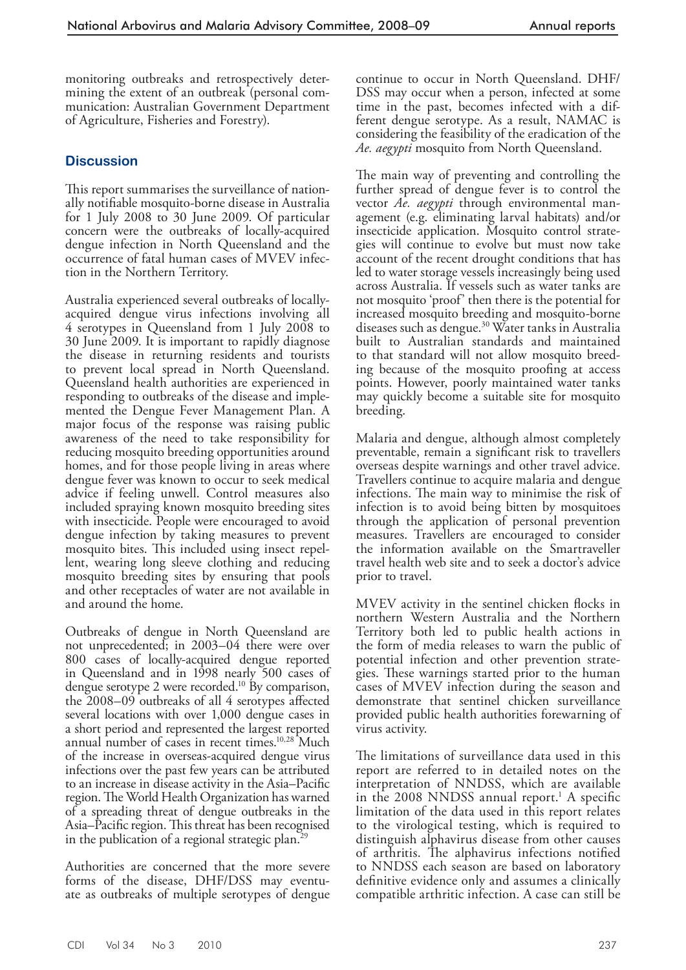monitoring outbreaks and retrospectively determining the extent of an outbreak (personal communication: Australian Government Department of Agriculture, Fisheries and Forestry).

## **Discussion**

This report summarises the surveillance of nationally notifiable mosquito-borne disease in Australia for 1 July 2008 to 30 June 2009. Of particular concern were the outbreaks of locally-acquired dengue infection in North Queensland and the occurrence of fatal human cases of MVEV infection in the Northern Territory.

 Australia experienced several outbreaks of locallyacquired dengue virus infections involving all 4 serotypes in Queensland from 1 July 2008 to 30 June 2009. It is important to rapidly diagnose the disease in returning residents and tourists to prevent local spread in North Queensland. Queensland health authorities are experienced in responding to outbreaks of the disease and implemented the Dengue Fever Management Plan. A major focus of the response was raising public awareness of the need to take responsibility for reducing mosquito breeding opportunities around homes, and for those people living in areas where dengue fever was known to occur to seek medical advice if feeling unwell. Control measures also included spraying known mosquito breeding sites with insecticide. People were encouraged to avoid dengue infection by taking measures to prevent mosquito bites. This included using insect repellent, wearing long sleeve clothing and reducing mosquito breeding sites by ensuring that pools and other receptacles of water are not available in and around the home.

 Outbreaks of dengue in North Queensland are not unprecedented; in 2003–04 there were over 800 cases of locally-acquired dengue reported in Queensland and in 1998 nearly 500 cases of dengue serotype 2 were recorded.<sup>10</sup> By comparison, the  $2008-09$  outbreaks of all 4 serotypes affected several locations with over 1,000 dengue cases in a short period and represented the largest reported annual number of cases in recent times.<sup>10,28</sup> Much of the increase in overseas-acquired dengue virus infections over the past few years can be attributed to an increase in disease activity in the Asia–Pacific region. The World Health Organization has warned of a spreading threat of dengue outbreaks in the Asia–Pacific region. This threat has been recognised in the publication of a regional strategic plan.<sup>29</sup>

 Authorities are concerned that the more severe forms of the disease, DHF/DSS may eventuate as outbreaks of multiple serotypes of dengue

continue to occur in North Queensland. DHF/ DSS may occur when a person, infected at some time in the past, becomes infected with a different dengue serotype. As a result, NAMAC is considering the feasibility of the eradication of the *Ae. aegypti* mosquito from North Queensland.

The main way of preventing and controlling the further spread of dengue fever is to control the vector *Ae. aegypti* through environmental management (e.g. eliminating larval habitats) and/or insecticide application. Mosquito control strategies will continue to evolve but must now take account of the recent drought conditions that has led to water storage vessels increasingly being used across Australia. If vessels such as water tanks are not mosquito 'proof' then there is the potential for increased mosquito breeding and mosquito-borne diseases such as dengue. 30 Water tanks in Australia built to Australian standards and maintained to that standard will not allow mosquito breeding because of the mosquito proofing at access points. However, poorly maintained water tanks may quickly become a suitable site for mosquito breeding.

 Malaria and dengue, although almost completely preventable, remain a significant risk to travellers overseas despite warnings and other travel advice. Travellers continue to acquire malaria and dengue infections. The main way to minimise the risk of infection is to avoid being bitten by mosquitoes through the application of personal prevention measures. Travellers are encouraged to consider the information available on the Smartraveller travel health web site and to seek a doctor's advice prior to travel.

MVEV activity in the sentinel chicken flocks in northern Western Australia and the Northern Territory both led to public health actions in the form of media releases to warn the public of potential infection and other prevention strategies. These warnings started prior to the human cases of MVEV infection during the season and demonstrate that sentinel chicken surveillance provided public health authorities forewarning of virus activity.

The limitations of surveillance data used in this report are referred to in detailed notes on the interpretation of NNDSS, which are available in the 2008 NNDSS annual report.<sup>1</sup> A specific limitation of the data used in this report relates to the virological testing, which is required to distinguish alphavirus disease from other causes of arthritis. The alphavirus infections notified to NNDSS each season are based on laboratory definitive evidence only and assumes a clinically compatible arthritic infection. A case can still be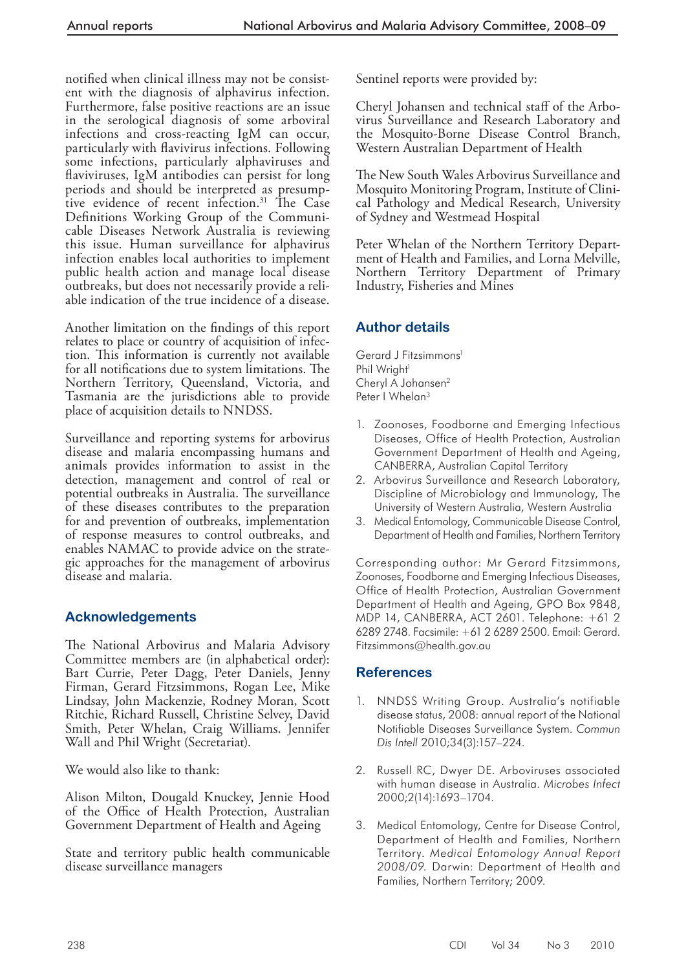notified when clinical illness may not be consistent with the diagnosis of alphavirus infection. Furthermore, false positive reactions are an issue in the serological diagnosis of some arboviral infections and cross-reacting IgM can occur, particularly with flavivirus infections. Following some infections, particularly alphaviruses and flaviviruses, IgM antibodies can persist for long periods and should be interpreted as presumptive evidence of recent infection.<sup>31</sup> The Case Definitions Working Group of the Communicable Diseases Network Australia is reviewing this issue. Human surveillance for alphavirus infection enables local authorities to implement public health action and manage local disease outbreaks, but does not necessarily provide a reliable indication of the true incidence of a disease.

Another limitation on the findings of this report relates to place or country of acquisition of infection. This information is currently not available for all notifications due to system limitations. The Northern Territory, Queensland, Victoria, and Tasmania are the jurisdictions able to provide place of acquisition details to NNDSS.

 Surveillance and reporting systems for arbovirus disease and malaria encompassing humans and animals provides information to assist in the detection, management and control of real or potential outbreaks in Australia. The surveillance of these diseases contributes to the preparation for and prevention of outbreaks, implementation of response measures to control outbreaks, and enables NAMAC to provide advice on the strategic approaches for the management of arbovirus disease and malaria.

## **Acknowledgements**

The National Arbovirus and Malaria Advisory Committee members are (in alphabetical order): Bart Currie, Peter Dagg, Peter Daniels, Jenny Firman, Gerard Fitzsimmons, Rogan Lee, Mike Lindsay, John Mackenzie, Rodney Moran, Scott Ritchie, Richard Russell, Christine Selvey, David Smith, Peter Whelan, Craig Williams. Jennifer Wall and Phil Wright (Secretariat).

We would also like to thank:

 Alison Milton, Dougald Knuckey, Jennie Hood of the Office of Health Protection, Australian Government Department of Health and Ageing

 State and territory public health communicable disease surveillance managers

Sentinel reports were provided by:

 Cheryl Johansen and technical staff of the Arbovirus Surveillance and Research Laboratory and the Mosquito-Borne Disease Control Branch, Western Australian Department of Health

The New South Wales Arbovirus Surveillance and Mosquito Monitoring Program, Institute of Clinical Pathology and Medical Research, University of Sydney and Westmead Hospital

 Peter Whelan of the Northern Territory Department of Health and Families, and Lorna Melville, Northern Territory Department of Primary Industry, Fisheries and Mines

## **Author details**

Gerard J Fitzsimmons<sup>1</sup> Phil Wright<sup>1</sup> Cheryl A Johansen<sup>2</sup> Peter | Whelan<sup>3</sup>

- 1. Zoonoses, Foodborne and Emerging Infectious Diseases, Office of Health Protection, Australian Government Department of Health and Ageing, CANBERRA, Australian Capital Territory
- 2. Arbovirus Surveillance and Research Laboratory, Discipline of Microbiology and Immunology, The University of Western Australia, Western Australia
- 3. Medical Entomology, Communicable Disease Control, Department of Health and Families, Northern Territory

Corresponding author: Mr Gerard Fitzsimmons, Zoonoses, Foodborne and Emerging Infectious Diseases, Office of Health Protection, Australian Government Department of Health and Ageing, GPO Box 9848, MDP 14, CANBERRA, ACT 2601. Telephone: +61 2 6289 2748. Facsimile: +61 2 6289 2500. Email: Gerard. Fitzsimmons@health.gov.au

## **References**

- 1. NNDSS Writing Group. Australia's notifiable disease status, 2008: annual report of the National Notifiable Diseases Surveillance System. *Commun Dis Intell* 2010;34(3):157–224.
- 2. Russell RC, Dwyer DE. Arboviruses associated with human disease in Australia. *Microbes Infect*  2000;2(14):1693–1704.
- 3. Medical Entomology, Centre for Disease Control, Department of Health and Families, Northern Territory. *Medical Entomology Annual Report 2008/09.* Darwin: Department of Health and Families, Northern Territory; 2009.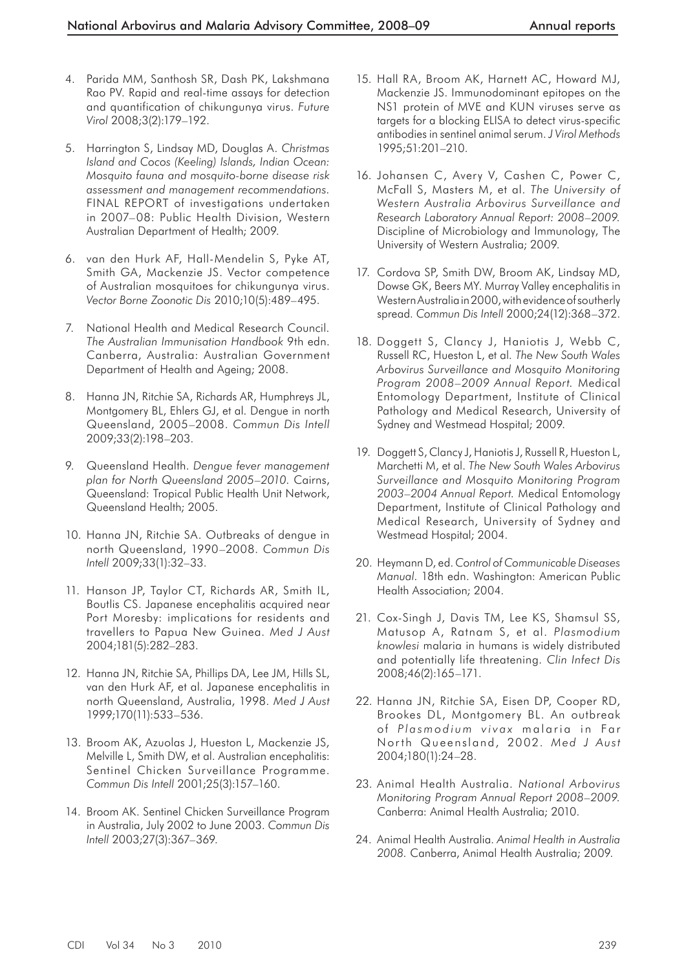- 4. Parida MM, Santhosh SR, Dash PK, Lakshmana Rao PV. Rapid and real-time assays for detection and quantification of chikungunya virus. *Future Virol* 2008;3(2):179–192.
- 5. Harrington S, Lindsay MD, Douglas A. *Christmas Island and Cocos (Keeling) Islands, Indian Ocean: Mosquito fauna and mosquito-borne disease risk assessment and management recommendations.*  FINAL REPORT of investigations undertaken in 2007–08: Public Health Division, Western Australian Department of Health; 2009.
- 6. van den Hurk AF, Hall-Mendelin S, Pyke AT, Smith GA, Mackenzie JS. Vector competence of Australian mosquitoes for chikungunya virus. *Vector Borne Zoonotic Dis* 2010;10(5):489–495.
- 7. National Health and Medical Research Council. *The Australian Immunisation Handbook* 9th edn. Canberra, Australia: Australian Government Department of Health and Ageing; 2008.
- 8. Hanna JN, Ritchie SA, Richards AR, Humphreys JL, Montgomery BL, Ehlers GJ, et al. Dengue in north Queensland, 2005–2008. *Commun Dis Intell*  2009;33(2):198–203.
- 9. Queensland Health. *Dengue fever management plan for North Queensland 2005–2010.* Cairns, Queensland: Tropical Public Health Unit Network, Queensland Health; 2005.
- 10. Hanna JN, Ritchie SA. Outbreaks of dengue in north Queensland, 1990–2008. *Commun Dis Intell* 2009;33(1):32–33.
- 11. Hanson JP, Taylor CT, Richards AR, Smith IL, Boutlis CS. Japanese encephalitis acquired near Port Moresby: implications for residents and travellers to Papua New Guinea. *Med J Aust*  2004;181(5):282–283.
- 12. Hanna JN, Ritchie SA, Phillips DA, Lee JM, Hills SL, van den Hurk AF, et al. Japanese encephalitis in north Queensland, Australia, 1998. *Med J Aust*  1999;170(11):533–536.
- 13. Broom AK, Azuolas J, Hueston L, Mackenzie JS, Melville L, Smith DW, et al. Australian encephalitis: Sentinel Chicken Surveillance Programme. *Commun Dis Intell* 2001;25(3):157–160.
- 14. Broom AK. Sentinel Chicken Surveillance Program in Australia, July 2002 to June 2003. *Commun Dis Intell* 2003;27(3):367–369.
- 15. Hall RA, Broom AK, Harnett AC, Howard MJ, Mackenzie JS. Immunodominant epitopes on the NS1 protein of MVE and KUN viruses serve as targets for a blocking ELISA to detect virus-specific antibodies in sentinel animal serum. *J Virol Methods*  1995;51:201–210.
- 16. Johansen C, Avery V, Cashen C, Power C, McFall S, Masters M, et al. *The University of Western Australia Arbovirus Surveillance and Research Laboratory Annual Report: 2008–2009.*  Discipline of Microbiology and Immunology, The University of Western Australia; 2009.
- 17. Cordova SP, Smith DW, Broom AK, Lindsay MD, Dowse GK, Beers MY. Murray Valley encephalitis in Western Australia in 2000, with evidence of southerly spread. *Commun Dis Intell* 2000;24(12):368–372.
- 18. Doggett S, Clancy J, Haniotis J, Webb C, Russell RC, Hueston L, et al. *The New South Wales Arbovirus Surveillance and Mosquito Monitoring Program 2008–2009 Annual Report.* Medical Entomology Department, Institute of Clinical Pathology and Medical Research, University of Sydney and Westmead Hospital; 2009.
- 19. Doggett S, Clancy J, Haniotis J, Russell R, Hueston L, Marchetti M, et al. *The New South Wales Arbovirus Surveillance and Mosquito Monitoring Program 2003–2004 Annual Report.* Medical Entomology Department, Institute of Clinical Pathology and Medical Research, University of Sydney and Westmead Hospital; 2004.
- 20. Heymann D, ed. *Control of Communicable Diseases Manual* . 18th edn. Washington: American Public Health Association; 2004.
- 21. Cox-Singh J, Davis TM, Lee KS, Shamsul SS, Matusop A, Ratnam S, et al. *Plasmodium knowlesi* malaria in humans is widely distributed and potentially life threatening. *Clin Infect Dis*  2008;46(2):165–171.
- 22. Hanna JN, Ritchie SA, Eisen DP, Cooper RD, Brookes DL, Montgomery BL. An outbreak of Plasmodium vivax malaria in Far North Queensland, 2002. *Med J Aust*  2004;180(1):24–28.
- 23. Animal Health Australia. *National Arbovirus Monitoring Program Annual Report 2008–2009.*  Canberra: Animal Health Australia; 2010.
- 24. Animal Health Australia. *Animal Health in Australia 2008.* Canberra, Animal Health Australia; 2009.